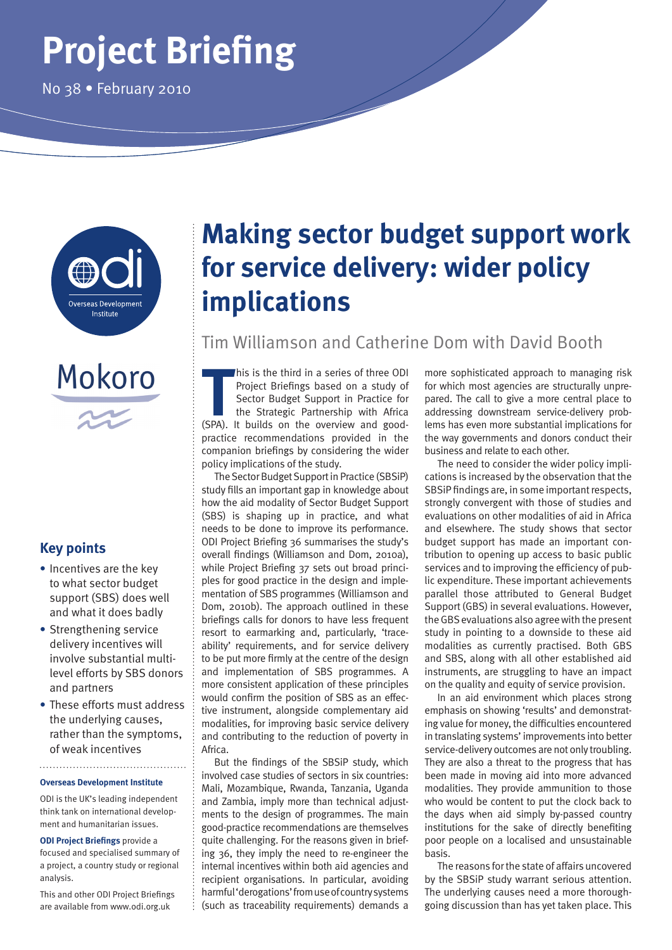# **Project Briefing**

No 38 • February 2010





#### **Key points**

- **•** Incentives are the key to what sector budget support (SBS) does well and what it does badly
- **•** Strengthening service delivery incentives will involve substantial multilevel efforts by SBS donors and partners
- **•** These efforts must address the underlying causes, rather than the symptoms, of weak incentives

#### **Overseas Development Institute**

ODI is the UK's leading independent think tank on international development and humanitarian issues.

**ODI Project Briefings** provide a focused and specialised summary of a project, a country study or regional analysis.

This and other ODI Project Briefings are available from www.odi.org.uk

## **Making sector budget support work for service delivery: wider policy implications**

### Tim Williamson and Catherine Dom with David Booth

his is the third in a series of three ODI<br>
Project Briefings based on a study of<br>
Sector Budget Support in Practice for<br>
the Strategic Partnership with Africa<br>
(SPA). It builds on the overview and goodhis is the third in a series of three ODI Project Briefings based on a study of Sector Budget Support in Practice for the Strategic Partnership with Africa practice recommendations provided in the companion briefings by considering the wider policy implications of the study.

The Sector Budget Support in Practice (SBSiP) study fills an important gap in knowledge about how the aid modality of Sector Budget Support (SBS) is shaping up in practice, and what needs to be done to improve its performance. ODI Project Briefing 36 summarises the study's overall findings (Williamson and Dom, 2010a), while Project Briefing 37 sets out broad principles for good practice in the design and implementation of SBS programmes (Williamson and Dom, 2010b). The approach outlined in these briefings calls for donors to have less frequent resort to earmarking and, particularly, 'traceability' requirements, and for service delivery to be put more firmly at the centre of the design and implementation of SBS programmes. A more consistent application of these principles would confirm the position of SBS as an effective instrument, alongside complementary aid modalities, for improving basic service delivery and contributing to the reduction of poverty in Africa.

But the findings of the SBSiP study, which involved case studies of sectors in six countries: Mali, Mozambique, Rwanda, Tanzania, Uganda and Zambia, imply more than technical adjustments to the design of programmes. The main good-practice recommendations are themselves quite challenging. For the reasons given in briefing 36, they imply the need to re-engineer the internal incentives within both aid agencies and recipient organisations. In particular, avoiding harmful 'derogations' from use of country systems (such as traceability requirements) demands a more sophisticated approach to managing risk for which most agencies are structurally unprepared. The call to give a more central place to addressing downstream service-delivery problems has even more substantial implications for the way governments and donors conduct their business and relate to each other.

The need to consider the wider policy implications is increased by the observation that the SBSiP findings are, in some important respects, strongly convergent with those of studies and evaluations on other modalities of aid in Africa and elsewhere. The study shows that sector budget support has made an important contribution to opening up access to basic public services and to improving the efficiency of public expenditure. These important achievements parallel those attributed to General Budget Support (GBS) in several evaluations. However, the GBS evaluations also agree with the present study in pointing to a downside to these aid modalities as currently practised. Both GBS and SBS, along with all other established aid instruments, are struggling to have an impact on the quality and equity of service provision.

In an aid environment which places strong emphasis on showing 'results' and demonstrating value for money, the difficulties encountered in translating systems' improvements into better service-delivery outcomes are not only troubling. They are also a threat to the progress that has been made in moving aid into more advanced modalities. They provide ammunition to those who would be content to put the clock back to the days when aid simply by-passed country institutions for the sake of directly benefiting poor people on a localised and unsustainable basis.

The reasons for the state of affairs uncovered by the SBSiP study warrant serious attention. The underlying causes need a more thoroughgoing discussion than has yet taken place. This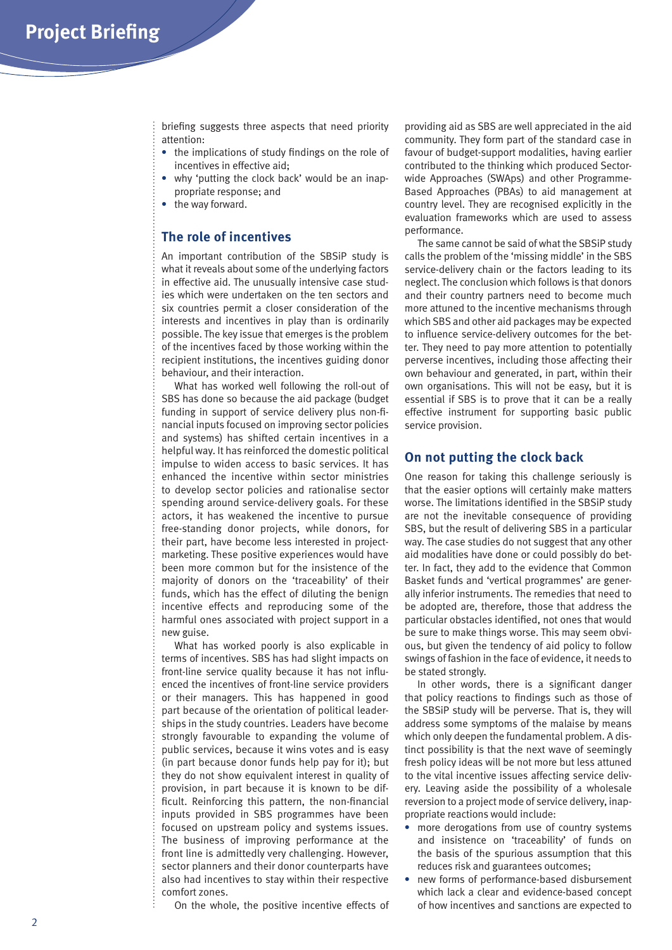briefing suggests three aspects that need priority attention:

- **•** the implications of study findings on the role of incentives in effective aid;
- **•** why 'putting the clock back' would be an inappropriate response; and
- **•** the way forward.

#### **The role of incentives**

An important contribution of the SBSiP study is what it reveals about some of the underlying factors in effective aid. The unusually intensive case studies which were undertaken on the ten sectors and six countries permit a closer consideration of the interests and incentives in play than is ordinarily possible. The key issue that emerges is the problem of the incentives faced by those working within the recipient institutions, the incentives guiding donor behaviour, and their interaction.

What has worked well following the roll-out of SBS has done so because the aid package (budget funding in support of service delivery plus non-financial inputs focused on improving sector policies and systems) has shifted certain incentives in a helpful way. It has reinforced the domestic political impulse to widen access to basic services. It has enhanced the incentive within sector ministries to develop sector policies and rationalise sector spending around service-delivery goals. For these actors, it has weakened the incentive to pursue free-standing donor projects, while donors, for their part, have become less interested in projectmarketing. These positive experiences would have been more common but for the insistence of the majority of donors on the 'traceability' of their funds, which has the effect of diluting the benign incentive effects and reproducing some of the harmful ones associated with project support in a new guise.

What has worked poorly is also explicable in terms of incentives. SBS has had slight impacts on front-line service quality because it has not influenced the incentives of front-line service providers or their managers. This has happened in good part because of the orientation of political leaderships in the study countries. Leaders have become strongly favourable to expanding the volume of public services, because it wins votes and is easy (in part because donor funds help pay for it); but they do not show equivalent interest in quality of provision, in part because it is known to be difficult. Reinforcing this pattern, the non-financial inputs provided in SBS programmes have been focused on upstream policy and systems issues. The business of improving performance at the front line is admittedly very challenging. However, sector planners and their donor counterparts have also had incentives to stay within their respective comfort zones.

On the whole, the positive incentive effects of

providing aid as SBS are well appreciated in the aid community. They form part of the standard case in favour of budget-support modalities, having earlier contributed to the thinking which produced Sectorwide Approaches (SWAps) and other Programme-Based Approaches (PBAs) to aid management at country level. They are recognised explicitly in the evaluation frameworks which are used to assess performance.

The same cannot be said of what the SBSiP study calls the problem of the 'missing middle' in the SBS service-delivery chain or the factors leading to its neglect. The conclusion which follows is that donors and their country partners need to become much more attuned to the incentive mechanisms through which SBS and other aid packages may be expected to influence service-delivery outcomes for the better. They need to pay more attention to potentially perverse incentives, including those affecting their own behaviour and generated, in part, within their own organisations. This will not be easy, but it is essential if SBS is to prove that it can be a really effective instrument for supporting basic public service provision.

#### **On not putting the clock back**

One reason for taking this challenge seriously is that the easier options will certainly make matters worse. The limitations identified in the SBSiP study are not the inevitable consequence of providing SBS, but the result of delivering SBS in a particular way. The case studies do not suggest that any other aid modalities have done or could possibly do better. In fact, they add to the evidence that Common Basket funds and 'vertical programmes' are generally inferior instruments. The remedies that need to be adopted are, therefore, those that address the particular obstacles identified, not ones that would be sure to make things worse. This may seem obvious, but given the tendency of aid policy to follow swings of fashion in the face of evidence, it needs to be stated strongly.

In other words, there is a significant danger that policy reactions to findings such as those of the SBSiP study will be perverse. That is, they will address some symptoms of the malaise by means which only deepen the fundamental problem. A distinct possibility is that the next wave of seemingly fresh policy ideas will be not more but less attuned to the vital incentive issues affecting service delivery. Leaving aside the possibility of a wholesale reversion to a project mode of service delivery, inappropriate reactions would include:

- **•** more derogations from use of country systems and insistence on 'traceability' of funds on the basis of the spurious assumption that this reduces risk and guarantees outcomes;
- **•** new forms of performance-based disbursement which lack a clear and evidence-based concept of how incentives and sanctions are expected to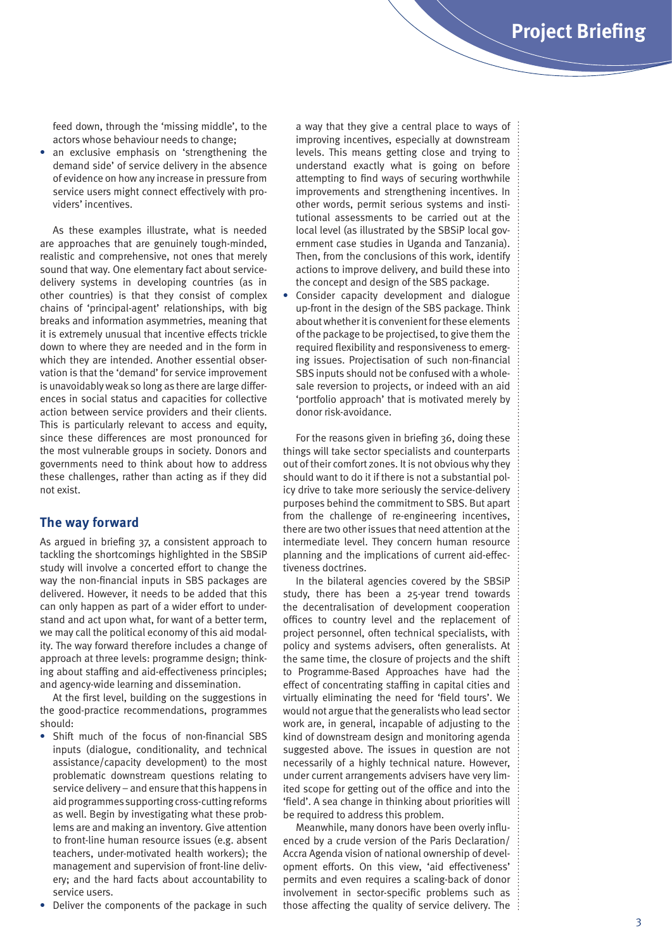feed down, through the 'missing middle', to the actors whose behaviour needs to change;

**•** an exclusive emphasis on 'strengthening the demand side' of service delivery in the absence of evidence on how any increase in pressure from service users might connect effectively with providers' incentives.

As these examples illustrate, what is needed are approaches that are genuinely tough-minded, realistic and comprehensive, not ones that merely sound that way. One elementary fact about servicedelivery systems in developing countries (as in other countries) is that they consist of complex chains of 'principal-agent' relationships, with big breaks and information asymmetries, meaning that it is extremely unusual that incentive effects trickle down to where they are needed and in the form in which they are intended. Another essential observation is that the 'demand' for service improvement is unavoidably weak so long as there are large differences in social status and capacities for collective action between service providers and their clients. This is particularly relevant to access and equity, since these differences are most pronounced for the most vulnerable groups in society. Donors and governments need to think about how to address these challenges, rather than acting as if they did not exist.

#### **The way forward**

As argued in briefing 37, a consistent approach to tackling the shortcomings highlighted in the SBSiP study will involve a concerted effort to change the way the non-financial inputs in SBS packages are delivered. However, it needs to be added that this can only happen as part of a wider effort to understand and act upon what, for want of a better term, we may call the political economy of this aid modality. The way forward therefore includes a change of approach at three levels: programme design; thinking about staffing and aid-effectiveness principles; and agency-wide learning and dissemination.

At the first level, building on the suggestions in the good-practice recommendations, programmes should:

- **•** Shift much of the focus of non-financial SBS inputs (dialogue, conditionality, and technical assistance/capacity development) to the most problematic downstream questions relating to service delivery – and ensure that this happens in aid programmes supporting cross-cutting reforms as well. Begin by investigating what these problems are and making an inventory. Give attention to front-line human resource issues (e.g. absent teachers, under-motivated health workers); the management and supervision of front-line delivery; and the hard facts about accountability to service users.
- **•** Deliver the components of the package in such

a way that they give a central place to ways of improving incentives, especially at downstream levels. This means getting close and trying to understand exactly what is going on before attempting to find ways of securing worthwhile improvements and strengthening incentives. In other words, permit serious systems and institutional assessments to be carried out at the local level (as illustrated by the SBSiP local government case studies in Uganda and Tanzania). Then, from the conclusions of this work, identify actions to improve delivery, and build these into the concept and design of the SBS package.

**•** Consider capacity development and dialogue up-front in the design of the SBS package. Think about whether it is convenient for these elements of the package to be projectised, to give them the required flexibility and responsiveness to emerging issues. Projectisation of such non-financial SBS inputs should not be confused with a wholesale reversion to projects, or indeed with an aid 'portfolio approach' that is motivated merely by donor risk-avoidance.

For the reasons given in briefing 36, doing these things will take sector specialists and counterparts out of their comfort zones. It is not obvious why they should want to do it if there is not a substantial policy drive to take more seriously the service-delivery purposes behind the commitment to SBS. But apart from the challenge of re-engineering incentives, there are two other issues that need attention at the intermediate level. They concern human resource planning and the implications of current aid-effectiveness doctrines.

In the bilateral agencies covered by the SBSiP study, there has been a 25-year trend towards the decentralisation of development cooperation offices to country level and the replacement of project personnel, often technical specialists, with policy and systems advisers, often generalists. At the same time, the closure of projects and the shift to Programme-Based Approaches have had the effect of concentrating staffing in capital cities and virtually eliminating the need for 'field tours'. We would not argue that the generalists who lead sector work are, in general, incapable of adjusting to the kind of downstream design and monitoring agenda suggested above. The issues in question are not necessarily of a highly technical nature. However, under current arrangements advisers have very limited scope for getting out of the office and into the 'field'. A sea change in thinking about priorities will be required to address this problem.

Meanwhile, many donors have been overly influenced by a crude version of the Paris Declaration/ Accra Agenda vision of national ownership of development efforts. On this view, 'aid effectiveness' permits and even requires a scaling-back of donor involvement in sector-specific problems such as those affecting the quality of service delivery. The  $\frac{1}{2}$